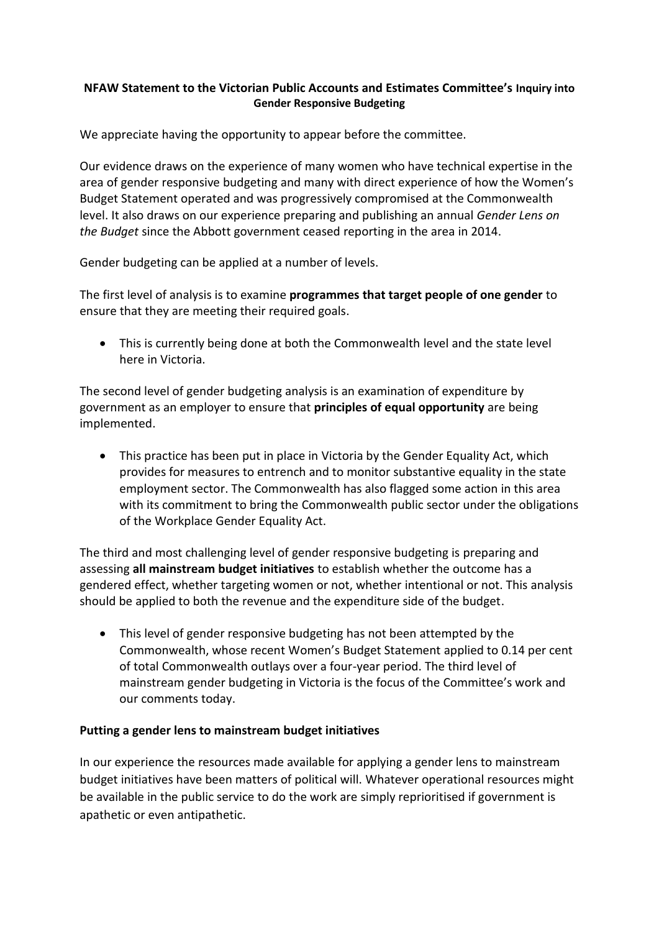## **NFAW Statement to the Victorian Public Accounts and Estimates Committee's Inquiry into Gender Responsive Budgeting**

We appreciate having the opportunity to appear before the committee.

Our evidence draws on the experience of many women who have technical expertise in the area of gender responsive budgeting and many with direct experience of how the Women's Budget Statement operated and was progressively compromised at the Commonwealth level. It also draws on our experience preparing and publishing an annual *Gender Lens on the Budget* since the Abbott government ceased reporting in the area in 2014.

Gender budgeting can be applied at a number of levels.

The first level of analysis is to examine **programmes that target people of one gender** to ensure that they are meeting their required goals.

• This is currently being done at both the Commonwealth level and the state level here in Victoria.

The second level of gender budgeting analysis is an examination of expenditure by government as an employer to ensure that **principles of equal opportunity** are being implemented.

• This practice has been put in place in Victoria by the Gender Equality Act, which provides for measures to entrench and to monitor substantive equality in the state employment sector. The Commonwealth has also flagged some action in this area with its commitment to bring the Commonwealth public sector under the obligations of the Workplace Gender Equality Act.

The third and most challenging level of gender responsive budgeting is preparing and assessing **all mainstream budget initiatives** to establish whether the outcome has a gendered effect, whether targeting women or not, whether intentional or not. This analysis should be applied to both the revenue and the expenditure side of the budget.

• This level of gender responsive budgeting has not been attempted by the Commonwealth, whose recent Women's Budget Statement applied to 0.14 per cent of total Commonwealth outlays over a four-year period. The third level of mainstream gender budgeting in Victoria is the focus of the Committee's work and our comments today.

## **Putting a gender lens to mainstream budget initiatives**

In our experience the resources made available for applying a gender lens to mainstream budget initiatives have been matters of political will. Whatever operational resources might be available in the public service to do the work are simply reprioritised if government is apathetic or even antipathetic.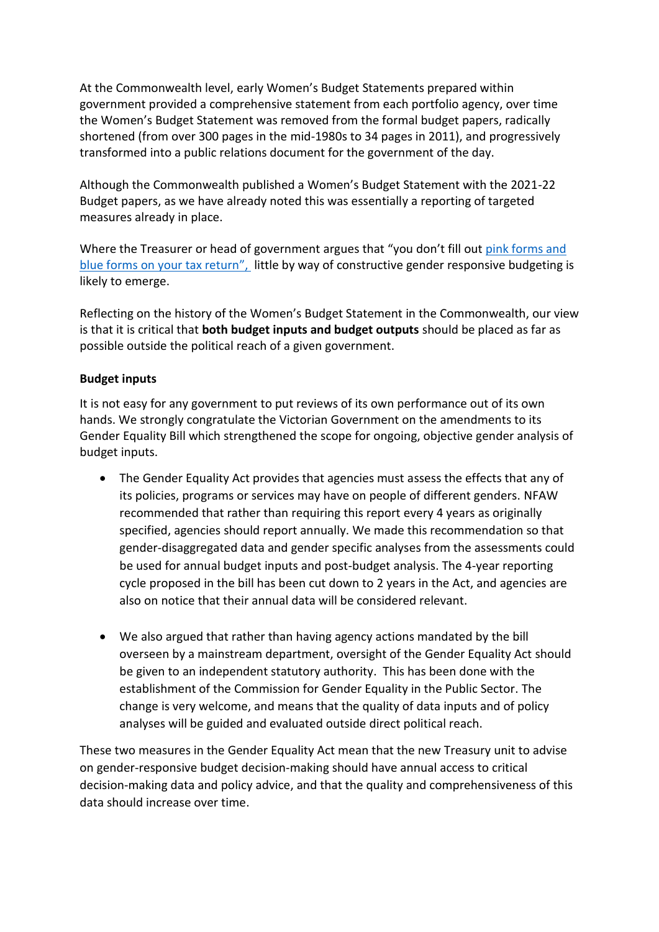At the Commonwealth level, early Women's Budget Statements prepared within government provided a comprehensive statement from each portfolio agency, over time the Women's Budget Statement was removed from the formal budget papers, radically shortened (from over 300 pages in the mid-1980s to 34 pages in 2011), and progressively transformed into a public relations document for the government of the day.

Although the Commonwealth published a Women's Budget Statement with the 2021-22 Budget papers, as we have already noted this was essentially a reporting of targeted measures already in place.

Where the Treasurer or head of government argues that "you don't fill out [pink forms and](https://www.smh.com.au/politics/federal/pink-tax-versus-blue-tax-the-case-for-taxing-women-lightly-20180613-p4zl34.html)  [blue forms on your tax return](https://www.smh.com.au/politics/federal/pink-tax-versus-blue-tax-the-case-for-taxing-women-lightly-20180613-p4zl34.html)", little by way of constructive gender responsive budgeting is likely to emerge.

Reflecting on the history of the Women's Budget Statement in the Commonwealth, our view is that it is critical that **both budget inputs and budget outputs** should be placed as far as possible outside the political reach of a given government.

## **Budget inputs**

It is not easy for any government to put reviews of its own performance out of its own hands. We strongly congratulate the Victorian Government on the amendments to its Gender Equality Bill which strengthened the scope for ongoing, objective gender analysis of budget inputs.

- The Gender Equality Act provides that agencies must assess the effects that any of its policies, programs or services may have on people of different genders. NFAW recommended that rather than requiring this report every 4 years as originally specified, agencies should report annually. We made this recommendation so that gender-disaggregated data and gender specific analyses from the assessments could be used for annual budget inputs and post-budget analysis. The 4-year reporting cycle proposed in the bill has been cut down to 2 years in the Act, and agencies are also on notice that their annual data will be considered relevant.
- We also argued that rather than having agency actions mandated by the bill overseen by a mainstream department, oversight of the Gender Equality Act should be given to an independent statutory authority. This has been done with the establishment of the Commission for Gender Equality in the Public Sector. The change is very welcome, and means that the quality of data inputs and of policy analyses will be guided and evaluated outside direct political reach.

These two measures in the Gender Equality Act mean that the new Treasury unit to advise on gender-responsive budget decision-making should have annual access to critical decision-making data and policy advice, and that the quality and comprehensiveness of this data should increase over time.